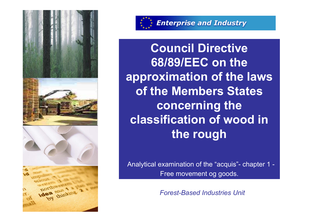





**Enterprise and Industry** 

**Council Directive 68/89/EEC on the approximation of the laws of the Members States concerning the classification of wood in the rough**

Analytical examination of the "acquis"- chapter 1 - Free movement og goods.

*Forest-Based Industries Unit*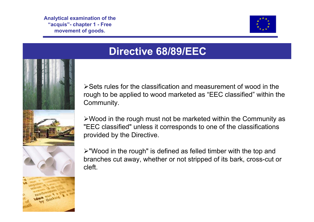

## **Directive 68/89/EEC**

¾Sets rules for the classification and measurement of wood in therough to be applied to wood marketed as "EEC classified" within the Community.

¾Wood in the rough must not be marketed within the Community as "EEC classified" unless it corresponds to one of the classifications provided by the Directive.



¾"Wood in the rough" is defined as felled timber with the top and branches cut away, whether or not stripped of its bark, cross-cut or cleft.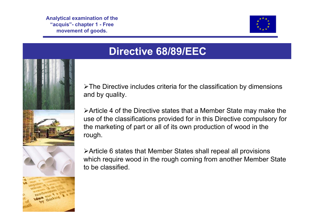





 $\triangleright$ The Directive includes criteria for the classification by dimensions and by quality.

¾Article 4 of the Directive states that a Member State may make the use of the classifications provided for in this Directive compulsory for the marketing of part or all of its own production of wood in the rough.



¾Article 6 states that Member States shall repeal all provisions which require wood in the rough coming from another Member State to be classified.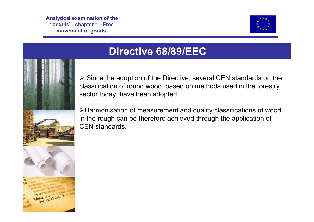

### **Directive 68/89/EEC**



 $\triangleright$  Since the adoption of the Directive, several CEN standards on the classification of round wood, based on methods used in the forestry sector today, have been adopted.

¾Harmonisation of measurement and quality classifications of wood in the rough can be therefore achieved through the application of CEN standards.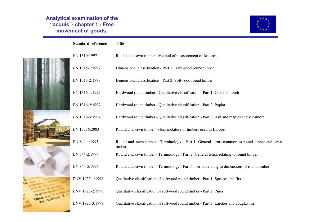#### **Standing Formula** Committee Committee Committee Committee Committee Committee Committee Committee Committee Commi<br>Standard Committee Committee Committee Committee Committee Committee Committee Committee Committee Committe **2018**<br>Provement of a **Analytical examination of the "acquis"- chapter 1 - Free movement of goods.**

64



| <b>Standard reference</b> | <b>Title</b>                                                                                          |
|---------------------------|-------------------------------------------------------------------------------------------------------|
| EN 1310:1997              | Round and sawn timber - Method of measurement of features                                             |
| EN 1315-1:1997            | Dimensional classification - Part 1: Hardwood round timber                                            |
| EN 1315-2:1997            | Dimensional classification - Part 2: Softwood round timber                                            |
| EN 1316-1:1997            | Hardwood round timber - Qualitative classification - Part 1: Oak and beech                            |
| EN 1316-2:1997            | Hardwood round timber - Qualitative classification - Part 2: Poplar                                   |
| EN 1316-3:1997            | Hardwood round timber - Qualitative classification - Part 3: Ash and maples and sycamore              |
| EN 13556:2003             | Round and sawn timber - Nomenclature of timbers used in Europe                                        |
| EN 844-1:1995             | Round and sawn timber - Terminology - Part 1: General terms common to round timber and sawn<br>timber |
| EN 844-2:1997             | Round and sawn timber - Terminology - Part 2: General terms relating to round timber                  |
| EN 844-5:1997             | Round and sawn timber - Terminology - Part 5: Terms relating to dimensions of round timber            |
| ENV 1927-1:1998           | Qualitative classification of softwood round timber - Part 1: Spruces and firs                        |
| ENV 1927-2:1998           | Qualitative classification of softwood round timber - Part 2: Pines                                   |
| ENV 1927-3:1998           | Qualitative classification of softwood round timber - Part 3: Larches and douglas firs                |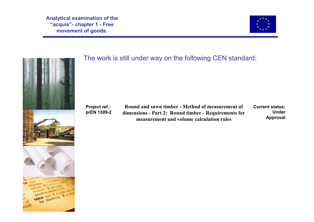



thinking.

### The work is still under way on the following CEN standard:

**Project ref.: prEN 1309-2**

**Round and sawn timber - Method of measurement of dimensions - Part 2: Round timber - Requirements for measurement and volume calculation rules** 

**Current status:Unde Approva**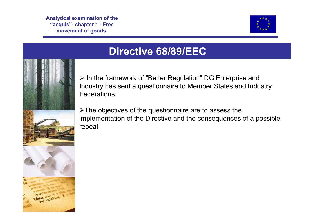

## **Directive 68/89/EEC**



¾ In the framework of "Better Regulation" DG Enterprise and Industry has sent a questionnaire to Member States and Industry Federations.

 $\triangleright$ The objectives of the questionnaire are to assess the implementation of the Directive and the consequences of a possible repeal.